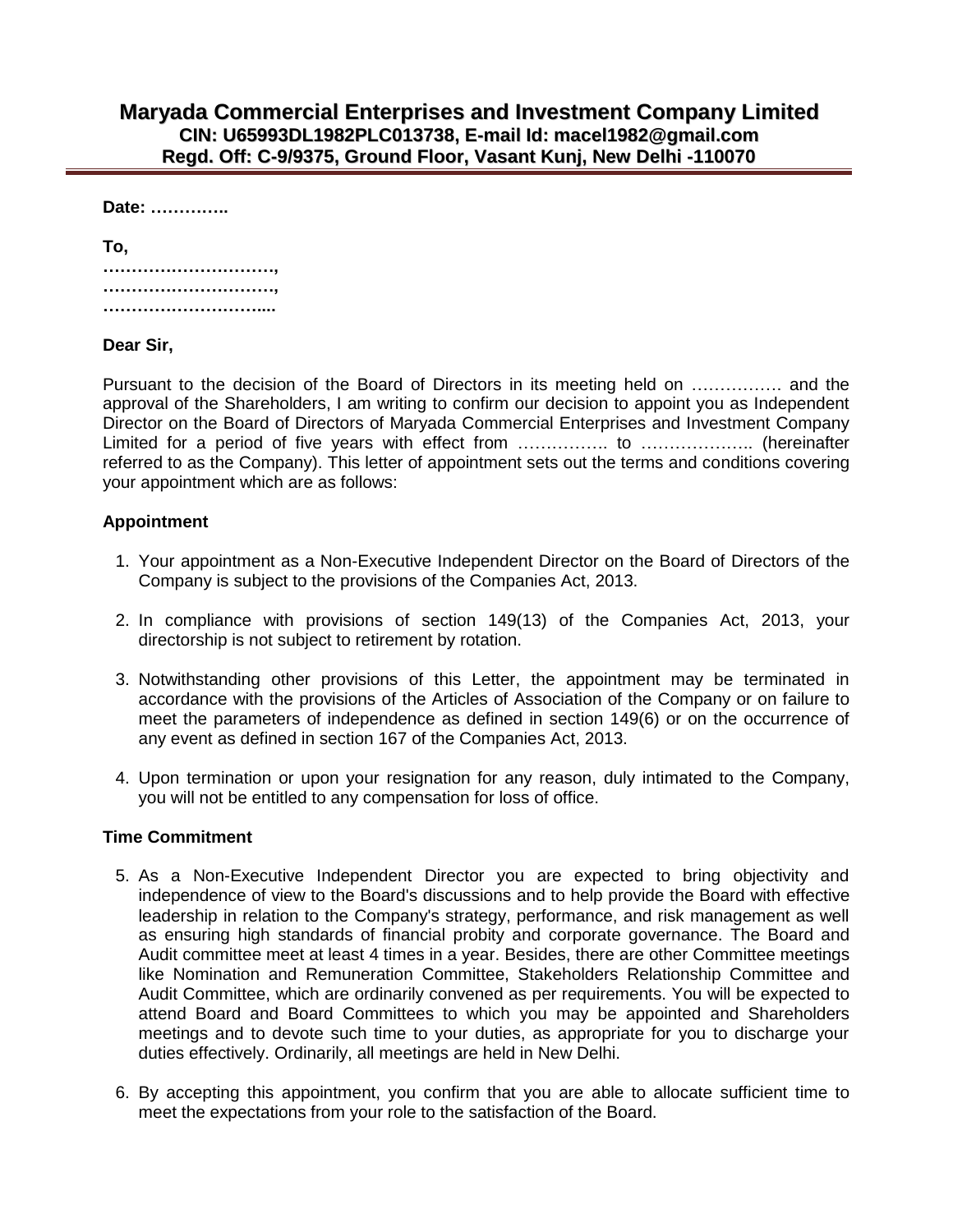## **Maryada Commercial Enterprises and Investment Company Limited CIN: U65993DL1982PLC013738, E-mail Id: macel1982@gmail.com Regd. Off: C-9/9375, Ground Floor, Vasant Kunj, New Delhi -110070**

**Date: …………..**

| To, |  |
|-----|--|
|     |  |
|     |  |
|     |  |

### **Dear Sir,**

Pursuant to the decision of the Board of Directors in its meeting held on ................ and the approval of the Shareholders, I am writing to confirm our decision to appoint you as Independent Director on the Board of Directors of Maryada Commercial Enterprises and Investment Company Limited for a period of five years with effect from ……………. to ……………….. (hereinafter referred to as the Company). This letter of appointment sets out the terms and conditions covering your appointment which are as follows:

### **Appointment**

- 1. Your appointment as a Non-Executive Independent Director on the Board of Directors of the Company is subject to the provisions of the Companies Act, 2013.
- 2. In compliance with provisions of section 149(13) of the Companies Act, 2013, your directorship is not subject to retirement by rotation.
- 3. Notwithstanding other provisions of this Letter, the appointment may be terminated in accordance with the provisions of the Articles of Association of the Company or on failure to meet the parameters of independence as defined in section 149(6) or on the occurrence of any event as defined in section 167 of the Companies Act, 2013.
- 4. Upon termination or upon your resignation for any reason, duly intimated to the Company, you will not be entitled to any compensation for loss of office.

### **Time Commitment**

- 5. As a Non-Executive Independent Director you are expected to bring objectivity and independence of view to the Board's discussions and to help provide the Board with effective leadership in relation to the Company's strategy, performance, and risk management as well as ensuring high standards of financial probity and corporate governance. The Board and Audit committee meet at least 4 times in a year. Besides, there are other Committee meetings like Nomination and Remuneration Committee, Stakeholders Relationship Committee and Audit Committee, which are ordinarily convened as per requirements. You will be expected to attend Board and Board Committees to which you may be appointed and Shareholders meetings and to devote such time to your duties, as appropriate for you to discharge your duties effectively. Ordinarily, all meetings are held in New Delhi.
- 6. By accepting this appointment, you confirm that you are able to allocate sufficient time to meet the expectations from your role to the satisfaction of the Board.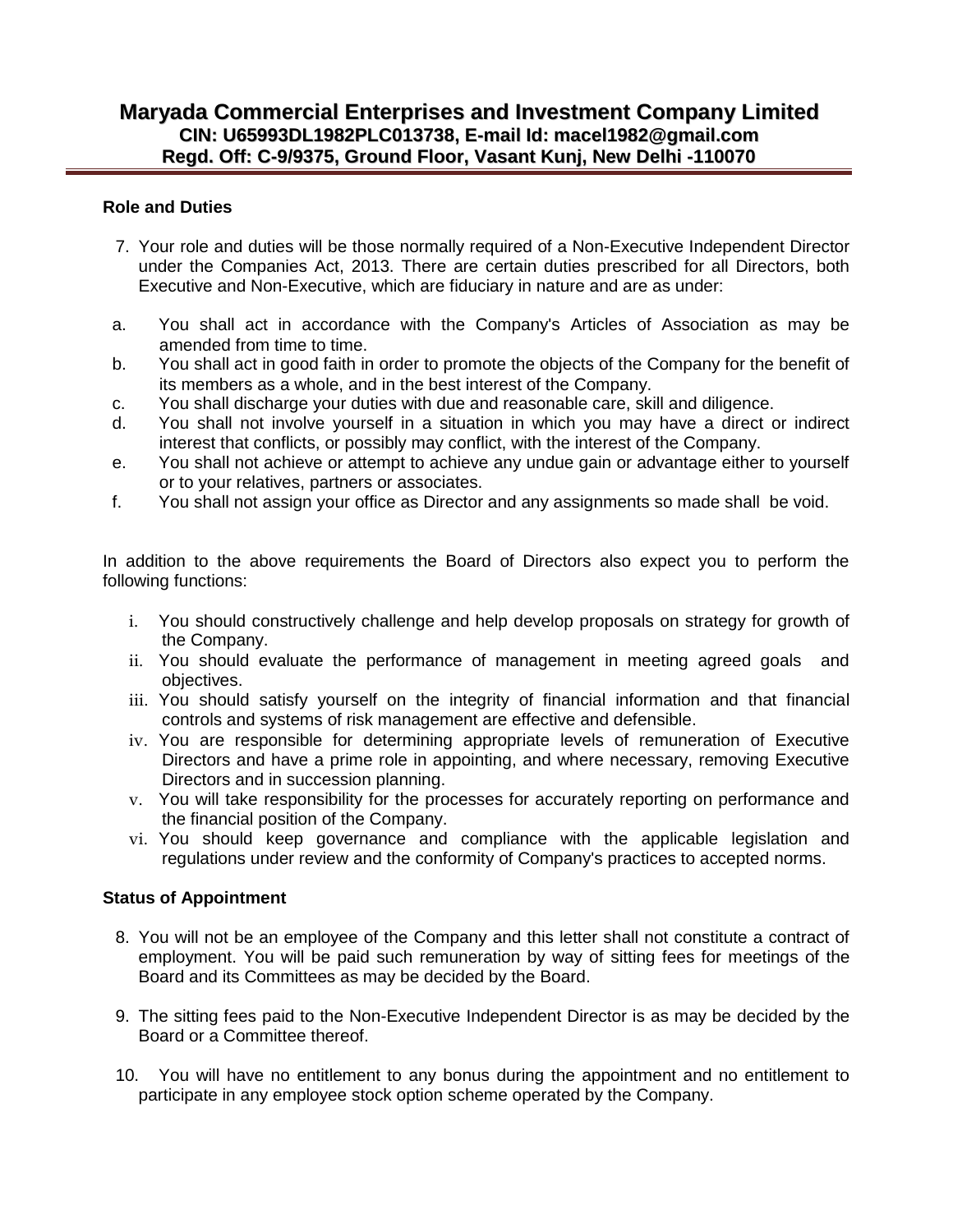# **Maryada Commercial Enterprises and Investment Company Limited CIN: U65993DL1982PLC013738, E-mail Id: macel1982@gmail.com Regd. Off: C-9/9375, Ground Floor, Vasant Kunj, New Delhi -110070**

### **Role and Duties**

- 7. Your role and duties will be those normally required of a Non-Executive Independent Director under the Companies Act, 2013. There are certain duties prescribed for all Directors, both Executive and Non-Executive, which are fiduciary in nature and are as under:
- a. You shall act in accordance with the Company's Articles of Association as may be amended from time to time.
- b. You shall act in good faith in order to promote the objects of the Company for the benefit of its members as a whole, and in the best interest of the Company.
- c. You shall discharge your duties with due and reasonable care, skill and diligence.
- d. You shall not involve yourself in a situation in which you may have a direct or indirect interest that conflicts, or possibly may conflict, with the interest of the Company.
- e. You shall not achieve or attempt to achieve any undue gain or advantage either to yourself or to your relatives, partners or associates.
- f. You shall not assign your office as Director and any assignments so made shall be void.

In addition to the above requirements the Board of Directors also expect you to perform the following functions:

- i. You should constructively challenge and help develop proposals on strategy for growth of the Company.
- ii. You should evaluate the performance of management in meeting agreed goals and objectives.
- iii. You should satisfy yourself on the integrity of financial information and that financial controls and systems of risk management are effective and defensible.
- iv. You are responsible for determining appropriate levels of remuneration of Executive Directors and have a prime role in appointing, and where necessary, removing Executive Directors and in succession planning.
- v. You will take responsibility for the processes for accurately reporting on performance and the financial position of the Company.
- vi. You should keep governance and compliance with the applicable legislation and regulations under review and the conformity of Company's practices to accepted norms.

### **Status of Appointment**

- 8. You will not be an employee of the Company and this letter shall not constitute a contract of employment. You will be paid such remuneration by way of sitting fees for meetings of the Board and its Committees as may be decided by the Board.
- 9. The sitting fees paid to the Non-Executive Independent Director is as may be decided by the Board or a Committee thereof.
- 10. You will have no entitlement to any bonus during the appointment and no entitlement to participate in any employee stock option scheme operated by the Company.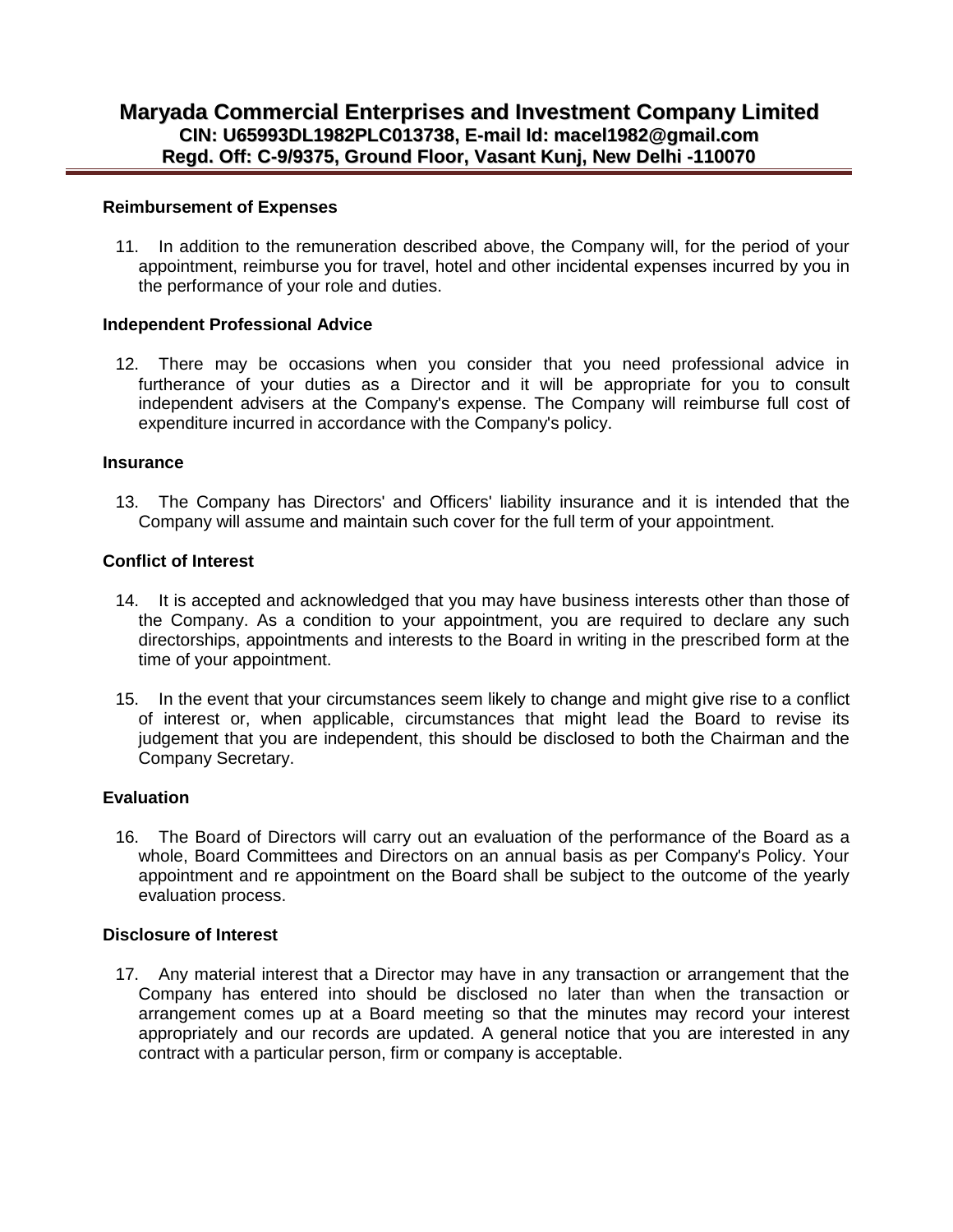#### **Reimbursement of Expenses**

11. In addition to the remuneration described above, the Company will, for the period of your appointment, reimburse you for travel, hotel and other incidental expenses incurred by you in the performance of your role and duties.

#### **Independent Professional Advice**

12. There may be occasions when you consider that you need professional advice in furtherance of your duties as a Director and it will be appropriate for you to consult independent advisers at the Company's expense. The Company will reimburse full cost of expenditure incurred in accordance with the Company's policy.

#### **Insurance**

13. The Company has Directors' and Officers' liability insurance and it is intended that the Company will assume and maintain such cover for the full term of your appointment.

#### **Conflict of Interest**

- 14. It is accepted and acknowledged that you may have business interests other than those of the Company. As a condition to your appointment, you are required to declare any such directorships, appointments and interests to the Board in writing in the prescribed form at the time of your appointment.
- 15. In the event that your circumstances seem likely to change and might give rise to a conflict of interest or, when applicable, circumstances that might lead the Board to revise its judgement that you are independent, this should be disclosed to both the Chairman and the Company Secretary.

#### **Evaluation**

16. The Board of Directors will carry out an evaluation of the performance of the Board as a whole, Board Committees and Directors on an annual basis as per Company's Policy. Your appointment and re appointment on the Board shall be subject to the outcome of the yearly evaluation process.

#### **Disclosure of Interest**

17. Any material interest that a Director may have in any transaction or arrangement that the Company has entered into should be disclosed no later than when the transaction or arrangement comes up at a Board meeting so that the minutes may record your interest appropriately and our records are updated. A general notice that you are interested in any contract with a particular person, firm or company is acceptable.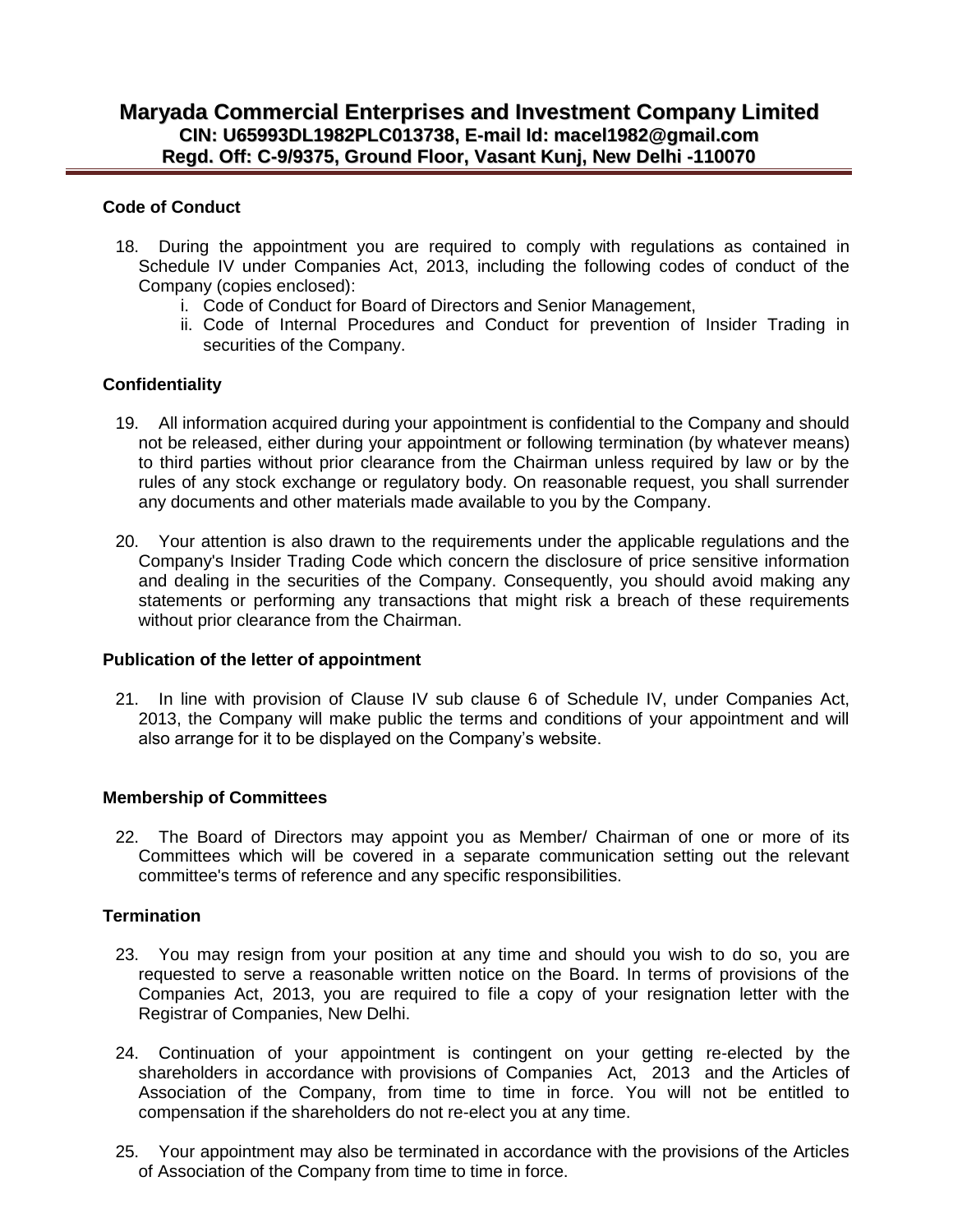### **Code of Conduct**

- 18. During the appointment you are required to comply with regulations as contained in Schedule IV under Companies Act, 2013, including the following codes of conduct of the Company (copies enclosed):
	- i. Code of Conduct for Board of Directors and Senior Management,
	- ii. Code of Internal Procedures and Conduct for prevention of Insider Trading in securities of the Company.

## **Confidentiality**

- 19. All information acquired during your appointment is confidential to the Company and should not be released, either during your appointment or following termination (by whatever means) to third parties without prior clearance from the Chairman unless required by law or by the rules of any stock exchange or regulatory body. On reasonable request, you shall surrender any documents and other materials made available to you by the Company.
- 20. Your attention is also drawn to the requirements under the applicable regulations and the Company's Insider Trading Code which concern the disclosure of price sensitive information and dealing in the securities of the Company. Consequently, you should avoid making any statements or performing any transactions that might risk a breach of these requirements without prior clearance from the Chairman.

### **Publication of the letter of appointment**

21. In line with provision of Clause IV sub clause 6 of Schedule IV, under Companies Act, 2013, the Company will make public the terms and conditions of your appointment and will also arrange for it to be displayed on the Company's website.

### **Membership of Committees**

22. The Board of Directors may appoint you as Member/ Chairman of one or more of its Committees which will be covered in a separate communication setting out the relevant committee's terms of reference and any specific responsibilities.

### **Termination**

- 23. You may resign from your position at any time and should you wish to do so, you are requested to serve a reasonable written notice on the Board. In terms of provisions of the Companies Act, 2013, you are required to file a copy of your resignation letter with the Registrar of Companies, New Delhi.
- 24. Continuation of your appointment is contingent on your getting re-elected by the shareholders in accordance with provisions of Companies Act, 2013 and the Articles of Association of the Company, from time to time in force. You will not be entitled to compensation if the shareholders do not re-elect you at any time.
- 25. Your appointment may also be terminated in accordance with the provisions of the Articles of Association of the Company from time to time in force.